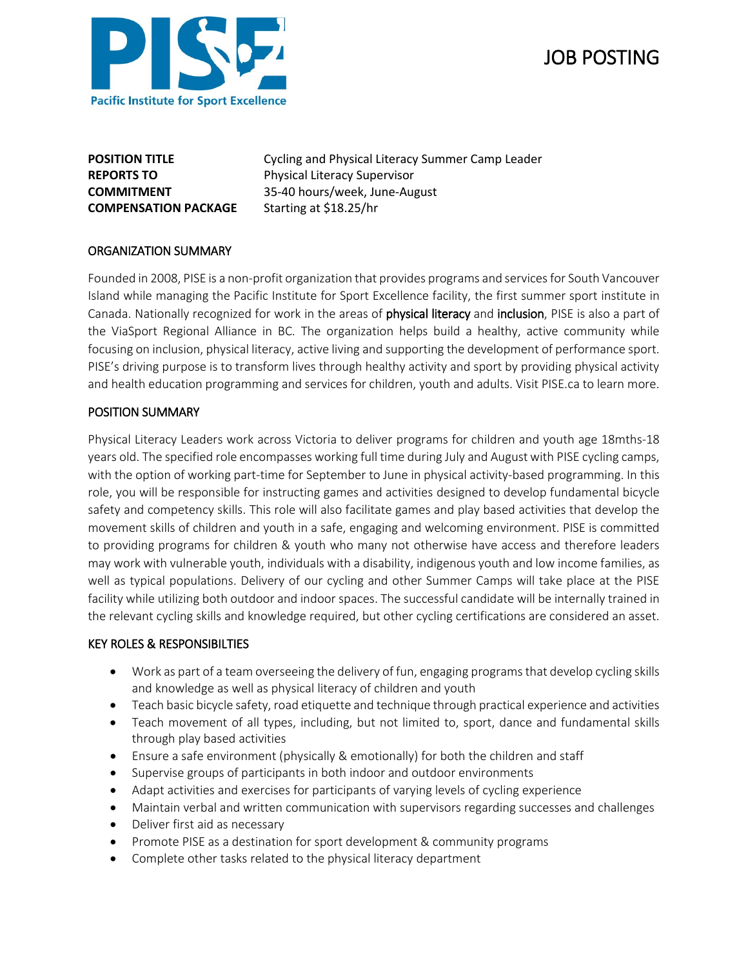

# JOB POSTING

**COMPENSATION PACKAGE** Starting at \$18.25/hr

**POSITION TITLE** Cycling and Physical Literacy Summer Camp Leader **REPORTS TO** Physical Literacy Supervisor **COMMITMENT** 35-40 hours/week, June-August

### ORGANIZATION SUMMARY

Founded in 2008, PISE is a non-profit organization that provides programs and services for South Vancouver Island while managing the Pacific Institute for Sport Excellence facility, the first summer sport institute in Canada. Nationally recognized for work in the areas of physical literacy and inclusion, PISE is also a part of the ViaSport Regional Alliance in BC. The organization helps build a healthy, active community while focusing on inclusion, physical literacy, active living and supporting the development of performance sport. PISE's driving purpose is to transform lives through healthy activity and sport by providing physical activity and health education programming and services for children, youth and adults. Visit PISE.ca to learn more.

## POSITION SUMMARY

Physical Literacy Leaders work across Victoria to deliver programs for children and youth age 18mths-18 years old. The specified role encompasses working full time during July and August with PISE cycling camps, with the option of working part-time for September to June in physical activity-based programming. In this role, you will be responsible for instructing games and activities designed to develop fundamental bicycle safety and competency skills. This role will also facilitate games and play based activities that develop the movement skills of children and youth in a safe, engaging and welcoming environment. PISE is committed to providing programs for children & youth who many not otherwise have access and therefore leaders may work with vulnerable youth, individuals with a disability, indigenous youth and low income families, as well as typical populations. Delivery of our cycling and other Summer Camps will take place at the PISE facility while utilizing both outdoor and indoor spaces. The successful candidate will be internally trained in the relevant cycling skills and knowledge required, but other cycling certifications are considered an asset.

#### KEY ROLES & RESPONSIBILTIES

- Work as part of a team overseeing the delivery of fun, engaging programs that develop cycling skills and knowledge as well as physical literacy of children and youth
- Teach basic bicycle safety, road etiquette and technique through practical experience and activities
- Teach movement of all types, including, but not limited to, sport, dance and fundamental skills through play based activities
- Ensure a safe environment (physically & emotionally) for both the children and staff
- Supervise groups of participants in both indoor and outdoor environments
- Adapt activities and exercises for participants of varying levels of cycling experience
- Maintain verbal and written communication with supervisors regarding successes and challenges
- Deliver first aid as necessary
- Promote PISE as a destination for sport development & community programs
- Complete other tasks related to the physical literacy department